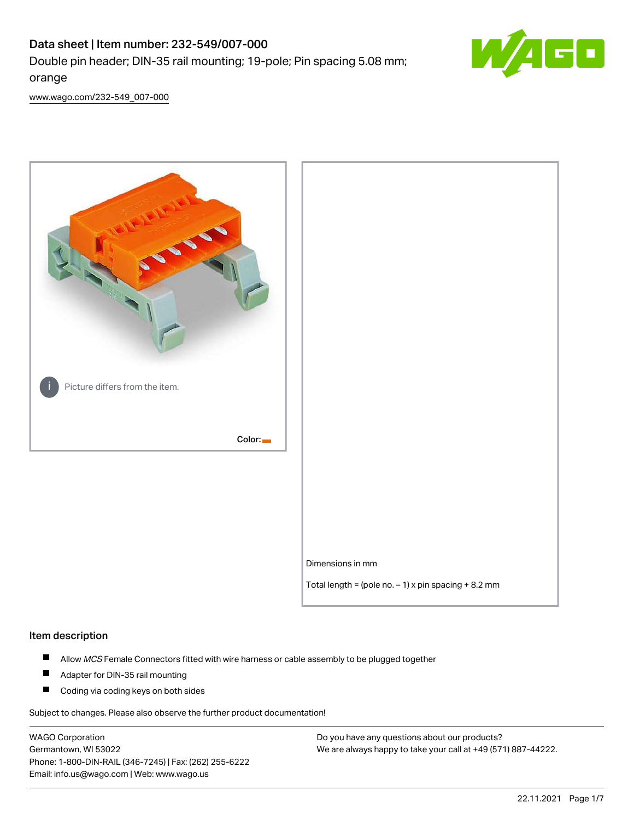# Data sheet | Item number: 232-549/007-000 Double pin header; DIN-35 rail mounting; 19-pole; Pin spacing 5.08 mm; orange



[www.wago.com/232-549\\_007-000](http://www.wago.com/232-549_007-000)



#### Item description

- $\blacksquare$ Allow MCS Female Connectors fitted with wire harness or cable assembly to be plugged together
- $\blacksquare$ Adapter for DIN-35 rail mounting
- $\blacksquare$ Coding via coding keys on both sides

Subject to changes. Please also observe the further product documentation!

WAGO Corporation Germantown, WI 53022 Phone: 1-800-DIN-RAIL (346-7245) | Fax: (262) 255-6222 Email: info.us@wago.com | Web: www.wago.us

Do you have any questions about our products? We are always happy to take your call at +49 (571) 887-44222.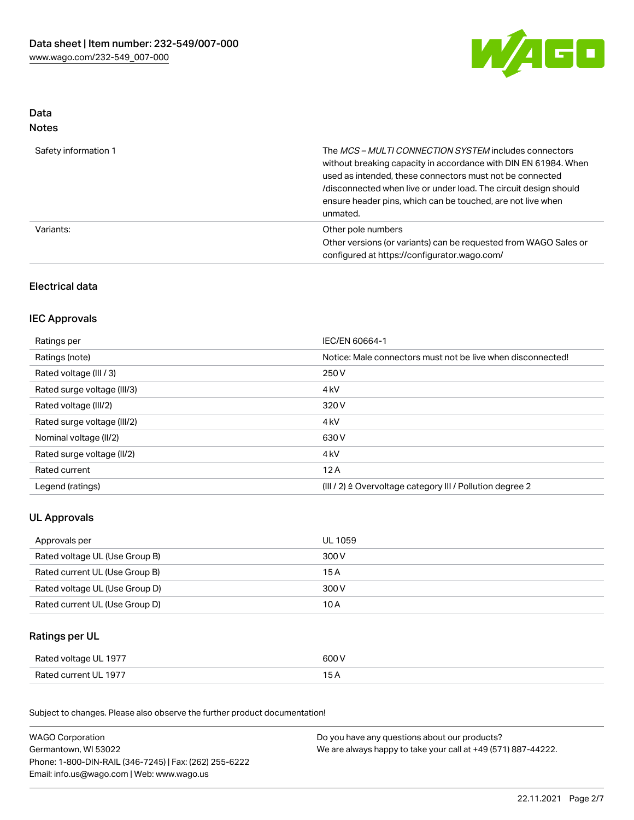

## Data Notes

| Safety information 1 | The <i>MCS – MULTI CONNECTION SYSTEM</i> includes connectors<br>without breaking capacity in accordance with DIN EN 61984. When<br>used as intended, these connectors must not be connected<br>/disconnected when live or under load. The circuit design should<br>ensure header pins, which can be touched, are not live when<br>unmated. |
|----------------------|--------------------------------------------------------------------------------------------------------------------------------------------------------------------------------------------------------------------------------------------------------------------------------------------------------------------------------------------|
| Variants:            | Other pole numbers<br>Other versions (or variants) can be requested from WAGO Sales or<br>configured at https://configurator.wago.com/                                                                                                                                                                                                     |

# Electrical data

## IEC Approvals

| Ratings per                 | IEC/EN 60664-1                                                        |
|-----------------------------|-----------------------------------------------------------------------|
| Ratings (note)              | Notice: Male connectors must not be live when disconnected!           |
| Rated voltage (III / 3)     | 250 V                                                                 |
| Rated surge voltage (III/3) | 4 <sub>k</sub> V                                                      |
| Rated voltage (III/2)       | 320 V                                                                 |
| Rated surge voltage (III/2) | 4 <sub>k</sub> V                                                      |
| Nominal voltage (II/2)      | 630 V                                                                 |
| Rated surge voltage (II/2)  | 4 <sub>k</sub> V                                                      |
| Rated current               | 12A                                                                   |
| Legend (ratings)            | $(III / 2)$ $\triangle$ Overvoltage category III / Pollution degree 2 |

# UL Approvals

| Approvals per                  | UL 1059 |
|--------------------------------|---------|
| Rated voltage UL (Use Group B) | 300 V   |
| Rated current UL (Use Group B) | 15 A    |
| Rated voltage UL (Use Group D) | 300 V   |
| Rated current UL (Use Group D) | 10 A    |

## Ratings per UL

| Rated voltage UL 1977 | 600 V |
|-----------------------|-------|
| Rated current UL 1977 |       |

Subject to changes. Please also observe the further product documentation!

| <b>WAGO Corporation</b>                                | Do you have any questions about our products?                 |  |
|--------------------------------------------------------|---------------------------------------------------------------|--|
| Germantown, WI 53022                                   | We are always happy to take your call at +49 (571) 887-44222. |  |
| Phone: 1-800-DIN-RAIL (346-7245)   Fax: (262) 255-6222 |                                                               |  |
| Email: info.us@wago.com   Web: www.wago.us             |                                                               |  |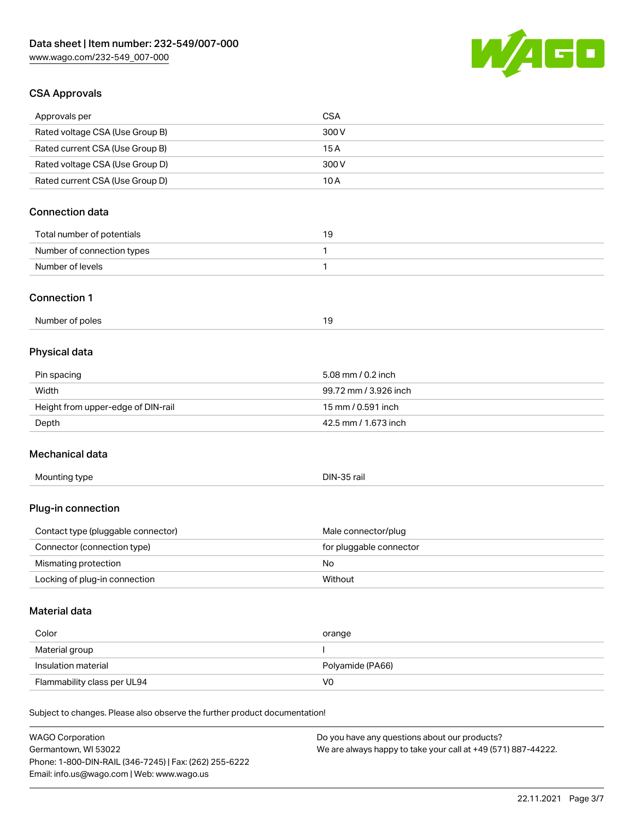

## CSA Approvals

Germantown, WI 53022

Phone: 1-800-DIN-RAIL (346-7245) | Fax: (262) 255-6222

Email: info.us@wago.com | Web: www.wago.us

| Approvals per                                                              | <b>CSA</b>                                    |
|----------------------------------------------------------------------------|-----------------------------------------------|
| Rated voltage CSA (Use Group B)                                            | 300 V                                         |
| Rated current CSA (Use Group B)                                            | 15A                                           |
| Rated voltage CSA (Use Group D)                                            | 300 V                                         |
| Rated current CSA (Use Group D)                                            | 10A                                           |
| <b>Connection data</b>                                                     |                                               |
| Total number of potentials                                                 | 19                                            |
| Number of connection types                                                 | 1                                             |
| Number of levels                                                           | 1                                             |
| <b>Connection 1</b>                                                        |                                               |
| Number of poles                                                            | 19                                            |
| Physical data                                                              |                                               |
| Pin spacing                                                                | 5.08 mm / 0.2 inch                            |
| Width                                                                      | 99.72 mm / 3.926 inch                         |
| Height from upper-edge of DIN-rail                                         | 15 mm / 0.591 inch                            |
| Depth                                                                      | 42.5 mm / 1.673 inch                          |
| Mechanical data                                                            |                                               |
| Mounting type                                                              | DIN-35 rail                                   |
| Plug-in connection                                                         |                                               |
| Contact type (pluggable connector)                                         | Male connector/plug                           |
| Connector (connection type)                                                | for pluggable connector                       |
| Mismating protection                                                       | No                                            |
| Locking of plug-in connection                                              | Without                                       |
| Material data                                                              |                                               |
| Color                                                                      | orange                                        |
| Material group                                                             | $\mathbf{I}$                                  |
| Insulation material                                                        | Polyamide (PA66)                              |
| Flammability class per UL94                                                | V <sub>0</sub>                                |
| Subject to changes. Please also observe the further product documentation! |                                               |
| <b>WAGO Corporation</b>                                                    | Do you have any questions about our products? |

We are always happy to take your call at +49 (571) 887-44222.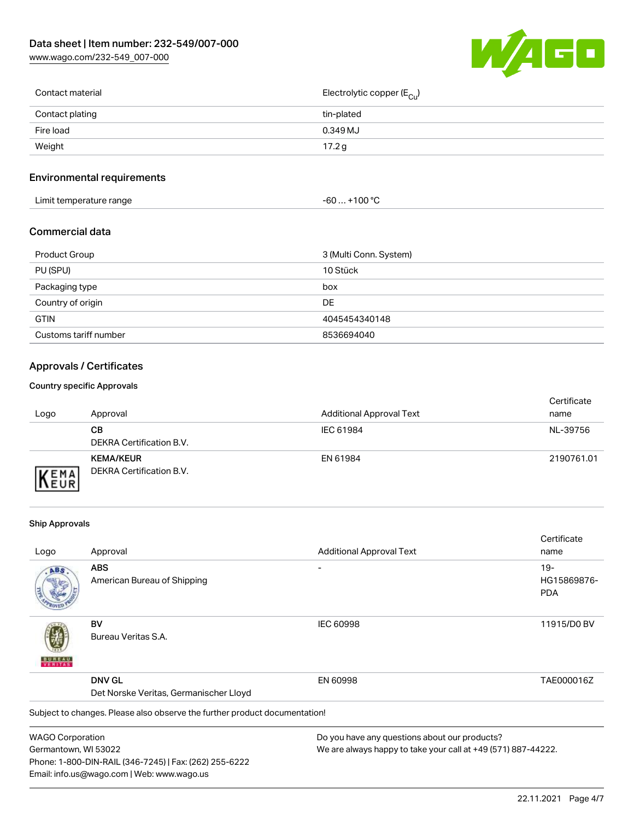[www.wago.com/232-549\\_007-000](http://www.wago.com/232-549_007-000)



| Contact material | Electrolytic copper (E <sub>Cu</sub> ) |
|------------------|----------------------------------------|
| Contact plating  | tin-plated                             |
| Fire load        | 0.349 MJ                               |
| Weight           | 17.2 g                                 |
|                  |                                        |

## Environmental requirements

| Limit temperature range<br>the contract of the contract of the contract of the contract of the contract of the contract of the contract of | $. +100 °C$<br>-60 |
|--------------------------------------------------------------------------------------------------------------------------------------------|--------------------|
|--------------------------------------------------------------------------------------------------------------------------------------------|--------------------|

## Commercial data

| Product Group         | 3 (Multi Conn. System) |
|-----------------------|------------------------|
| PU (SPU)              | 10 Stück               |
| Packaging type        | box                    |
| Country of origin     | DE.                    |
| <b>GTIN</b>           | 4045454340148          |
| Customs tariff number | 8536694040             |

# Approvals / Certificates

#### Country specific Approvals

| Logo                        | Approval                                     | <b>Additional Approval Text</b> | Certificate<br>name |
|-----------------------------|----------------------------------------------|---------------------------------|---------------------|
|                             | CВ<br>DEKRA Certification B.V.               | IEC 61984                       | NL-39756            |
| <b>VEMA</b><br><b>INEUR</b> | <b>KEMA/KEUR</b><br>DEKRA Certification B.V. | EN 61984                        | 2190761.01          |

#### Ship Approvals

Email: info.us@wago.com | Web: www.wago.us

|                                        |                                                                            |                                                               | Certificate |
|----------------------------------------|----------------------------------------------------------------------------|---------------------------------------------------------------|-------------|
| Logo                                   | Approval                                                                   | <b>Additional Approval Text</b>                               | name        |
| ABS                                    | <b>ABS</b>                                                                 |                                                               | $19-$       |
|                                        | American Bureau of Shipping                                                |                                                               | HG15869876- |
|                                        |                                                                            |                                                               | <b>PDA</b>  |
|                                        | BV                                                                         | <b>IEC 60998</b>                                              | 11915/D0 BV |
| VERITAS                                | Bureau Veritas S.A.                                                        |                                                               |             |
|                                        | <b>DNV GL</b>                                                              | EN 60998                                                      | TAE000016Z  |
| Det Norske Veritas, Germanischer Lloyd |                                                                            |                                                               |             |
|                                        | Subject to changes. Please also observe the further product documentation! |                                                               |             |
| <b>WAGO Corporation</b>                |                                                                            | Do you have any questions about our products?                 |             |
| Germantown, WI 53022                   |                                                                            | We are always happy to take your call at +49 (571) 887-44222. |             |
|                                        | Phone: 1-800-DIN-RAIL (346-7245)   Fax: (262) 255-6222                     |                                                               |             |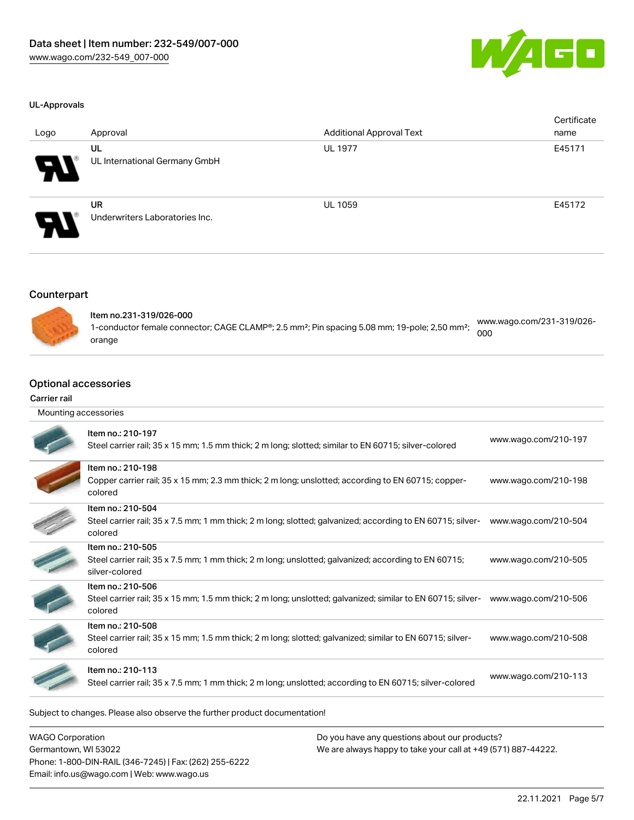

#### UL-Approvals

| Logo                  | Approval                                    | <b>Additional Approval Text</b> | Certificate<br>name |
|-----------------------|---------------------------------------------|---------------------------------|---------------------|
| $\boldsymbol{\theta}$ | UL<br>UL International Germany GmbH         | <b>UL 1977</b>                  | E45171              |
| $\boldsymbol{\theta}$ | <b>UR</b><br>Underwriters Laboratories Inc. | <b>UL 1059</b>                  | E45172              |

## **Counterpart**



| ltem no.231-319/026-000                                                                                               | www.wago.com/231-319/026- |
|-----------------------------------------------------------------------------------------------------------------------|---------------------------|
| 1-conductor female connector; CAGE CLAMP®; 2.5 mm <sup>2</sup> ; Pin spacing 5.08 mm; 19-pole; 2,50 mm <sup>2</sup> ; | 000                       |
| orange                                                                                                                |                           |

### Optional accessories

#### Carrier rail

| Mounting accessories |                                                                                                                                             |                      |
|----------------------|---------------------------------------------------------------------------------------------------------------------------------------------|----------------------|
|                      | Item no.: 210-197<br>Steel carrier rail; 35 x 15 mm; 1.5 mm thick; 2 m long; slotted; similar to EN 60715; silver-colored                   | www.wago.com/210-197 |
|                      | Item no.: 210-198<br>Copper carrier rail; 35 x 15 mm; 2.3 mm thick; 2 m long; unslotted; according to EN 60715; copper-<br>colored          | www.wago.com/210-198 |
|                      | Item no.: 210-504<br>Steel carrier rail; 35 x 7.5 mm; 1 mm thick; 2 m long; slotted; galvanized; according to EN 60715; silver-<br>colored  | www.wago.com/210-504 |
|                      | Item no.: 210-505<br>Steel carrier rail; 35 x 7.5 mm; 1 mm thick; 2 m long; unslotted; galvanized; according to EN 60715;<br>silver-colored | www.wago.com/210-505 |
|                      | Item no.: 210-506<br>Steel carrier rail; 35 x 15 mm; 1.5 mm thick; 2 m long; unslotted; galvanized; similar to EN 60715; silver-<br>colored | www.wago.com/210-506 |
|                      | Item no.: 210-508<br>Steel carrier rail; 35 x 15 mm; 1.5 mm thick; 2 m long; slotted; galvanized; similar to EN 60715; silver-<br>colored   | www.wago.com/210-508 |
|                      | Item no.: 210-113<br>Steel carrier rail; 35 x 7.5 mm; 1 mm thick; 2 m long; unslotted; according to EN 60715; silver-colored                | www.wago.com/210-113 |
|                      |                                                                                                                                             |                      |

Subject to changes. Please also observe the further product documentation!

WAGO Corporation Germantown, WI 53022 Phone: 1-800-DIN-RAIL (346-7245) | Fax: (262) 255-6222 Email: info.us@wago.com | Web: www.wago.us

Do you have any questions about our products? We are always happy to take your call at +49 (571) 887-44222.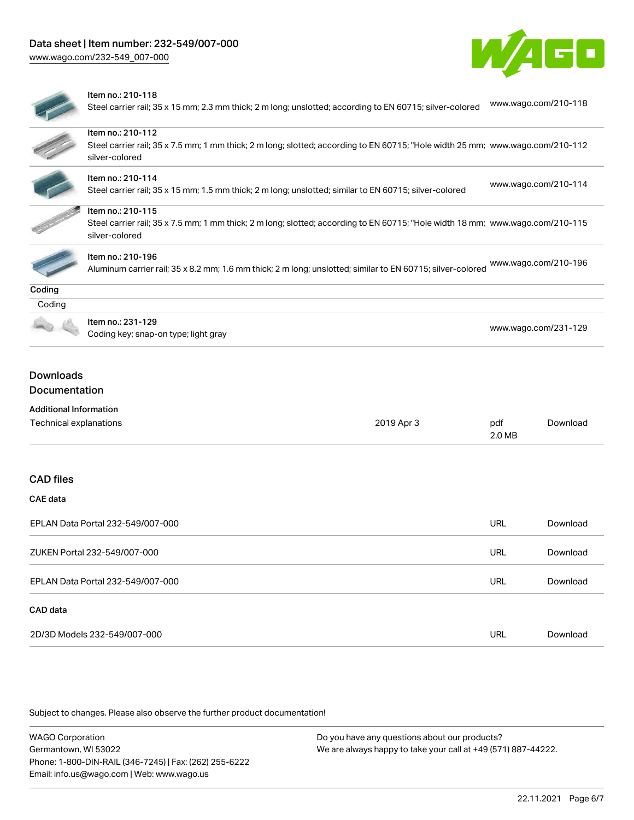



#### Item no.: 210-118

Steel carrier rail; 35 x 15 mm; 2.3 mm thick; 2 m long; unslotted; according to EN 60715; silver-colored [www.wago.com/210-118](http://www.wago.com/210-118)

| Item no.: 210-112<br>Steel carrier rail; 35 x 7.5 mm; 1 mm thick; 2 m long; slotted; according to EN 60715; "Hole width 25 mm; www.wago.com/210-112<br>silver-colored<br>Item no.: 210-114<br>www.wago.com/210-114<br>Steel carrier rail; 35 x 15 mm; 1.5 mm thick; 2 m long; unslotted; similar to EN 60715; silver-colored<br>Item no.: 210-115<br>Steel carrier rail; 35 x 7.5 mm; 1 mm thick; 2 m long; slotted; according to EN 60715; "Hole width 18 mm; www.wago.com/210-115<br>silver-colored<br>Item no.: 210-196<br>www.wago.com/210-196<br>Aluminum carrier rail; 35 x 8.2 mm; 1.6 mm thick; 2 m long; unslotted; similar to EN 60715; silver-colored<br>Coding<br>Item no.: 231-129<br>www.wago.com/231-129<br>Coding key; snap-on type; light gray<br><b>Downloads</b><br>Documentation<br><b>Additional Information</b><br>Technical explanations<br>2019 Apr 3<br>Download<br>pdf<br>2.0 MB<br><b>CAE</b> data<br><b>URL</b><br>EPLAN Data Portal 232-549/007-000<br>Download<br><b>URL</b><br>ZUKEN Portal 232-549/007-000<br>Download |                  |  |  |
|--------------------------------------------------------------------------------------------------------------------------------------------------------------------------------------------------------------------------------------------------------------------------------------------------------------------------------------------------------------------------------------------------------------------------------------------------------------------------------------------------------------------------------------------------------------------------------------------------------------------------------------------------------------------------------------------------------------------------------------------------------------------------------------------------------------------------------------------------------------------------------------------------------------------------------------------------------------------------------------------------------------------------------------------------------|------------------|--|--|
|                                                                                                                                                                                                                                                                                                                                                                                                                                                                                                                                                                                                                                                                                                                                                                                                                                                                                                                                                                                                                                                        |                  |  |  |
|                                                                                                                                                                                                                                                                                                                                                                                                                                                                                                                                                                                                                                                                                                                                                                                                                                                                                                                                                                                                                                                        |                  |  |  |
|                                                                                                                                                                                                                                                                                                                                                                                                                                                                                                                                                                                                                                                                                                                                                                                                                                                                                                                                                                                                                                                        |                  |  |  |
|                                                                                                                                                                                                                                                                                                                                                                                                                                                                                                                                                                                                                                                                                                                                                                                                                                                                                                                                                                                                                                                        |                  |  |  |
|                                                                                                                                                                                                                                                                                                                                                                                                                                                                                                                                                                                                                                                                                                                                                                                                                                                                                                                                                                                                                                                        |                  |  |  |
|                                                                                                                                                                                                                                                                                                                                                                                                                                                                                                                                                                                                                                                                                                                                                                                                                                                                                                                                                                                                                                                        |                  |  |  |
|                                                                                                                                                                                                                                                                                                                                                                                                                                                                                                                                                                                                                                                                                                                                                                                                                                                                                                                                                                                                                                                        |                  |  |  |
|                                                                                                                                                                                                                                                                                                                                                                                                                                                                                                                                                                                                                                                                                                                                                                                                                                                                                                                                                                                                                                                        |                  |  |  |
|                                                                                                                                                                                                                                                                                                                                                                                                                                                                                                                                                                                                                                                                                                                                                                                                                                                                                                                                                                                                                                                        | Coding           |  |  |
|                                                                                                                                                                                                                                                                                                                                                                                                                                                                                                                                                                                                                                                                                                                                                                                                                                                                                                                                                                                                                                                        |                  |  |  |
|                                                                                                                                                                                                                                                                                                                                                                                                                                                                                                                                                                                                                                                                                                                                                                                                                                                                                                                                                                                                                                                        |                  |  |  |
|                                                                                                                                                                                                                                                                                                                                                                                                                                                                                                                                                                                                                                                                                                                                                                                                                                                                                                                                                                                                                                                        |                  |  |  |
|                                                                                                                                                                                                                                                                                                                                                                                                                                                                                                                                                                                                                                                                                                                                                                                                                                                                                                                                                                                                                                                        | <b>CAD</b> files |  |  |
|                                                                                                                                                                                                                                                                                                                                                                                                                                                                                                                                                                                                                                                                                                                                                                                                                                                                                                                                                                                                                                                        |                  |  |  |
|                                                                                                                                                                                                                                                                                                                                                                                                                                                                                                                                                                                                                                                                                                                                                                                                                                                                                                                                                                                                                                                        |                  |  |  |
|                                                                                                                                                                                                                                                                                                                                                                                                                                                                                                                                                                                                                                                                                                                                                                                                                                                                                                                                                                                                                                                        |                  |  |  |
| <b>URL</b><br>EPLAN Data Portal 232-549/007-000<br>Download                                                                                                                                                                                                                                                                                                                                                                                                                                                                                                                                                                                                                                                                                                                                                                                                                                                                                                                                                                                            |                  |  |  |
|                                                                                                                                                                                                                                                                                                                                                                                                                                                                                                                                                                                                                                                                                                                                                                                                                                                                                                                                                                                                                                                        | CAD data         |  |  |

2D/3D Models 232-549/007-000 URL [Download](https://www.wago.com/global/d/3D_URLS_232-549_007-000)

Subject to changes. Please also observe the further product documentation!

WAGO Corporation Germantown, WI 53022 Phone: 1-800-DIN-RAIL (346-7245) | Fax: (262) 255-6222 Email: info.us@wago.com | Web: www.wago.us Do you have any questions about our products? We are always happy to take your call at +49 (571) 887-44222.